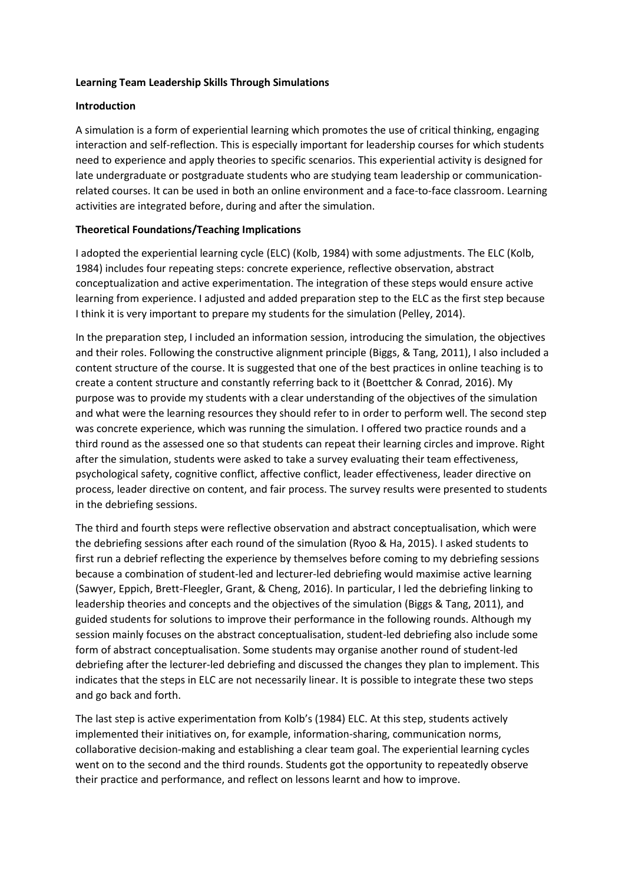## **Learning Team Leadership Skills Through Simulations**

# **Introduction**

A simulation is a form of experiential learning which promotes the use of critical thinking, engaging interaction and self-reflection. This is especially important for leadership courses for which students need to experience and apply theories to specific scenarios. This experiential activity is designed for late undergraduate or postgraduate students who are studying team leadership or communicationrelated courses. It can be used in both an online environment and a face-to-face classroom. Learning activities are integrated before, during and after the simulation.

# **Theoretical Foundations/Teaching Implications**

I adopted the experiential learning cycle (ELC) (Kolb, 1984) with some adjustments. The ELC (Kolb, 1984) includes four repeating steps: concrete experience, reflective observation, abstract conceptualization and active experimentation. The integration of these steps would ensure active learning from experience. I adjusted and added preparation step to the ELC as the first step because I think it is very important to prepare my students for the simulation (Pelley, 2014).

In the preparation step, I included an information session, introducing the simulation, the objectives and their roles. Following the constructive alignment principle (Biggs, & Tang, 2011), I also included a content structure of the course. It is suggested that one of the best practices in online teaching is to create a content structure and constantly referring back to it (Boettcher & Conrad, 2016). My purpose was to provide my students with a clear understanding of the objectives of the simulation and what were the learning resources they should refer to in order to perform well. The second step was concrete experience, which was running the simulation. I offered two practice rounds and a third round as the assessed one so that students can repeat their learning circles and improve. Right after the simulation, students were asked to take a survey evaluating their team effectiveness, psychological safety, cognitive conflict, affective conflict, leader effectiveness, leader directive on process, leader directive on content, and fair process. The survey results were presented to students in the debriefing sessions.

The third and fourth steps were reflective observation and abstract conceptualisation, which were the debriefing sessions after each round of the simulation (Ryoo & Ha, 2015). I asked students to first run a debrief reflecting the experience by themselves before coming to my debriefing sessions because a combination of student-led and lecturer-led debriefing would maximise active learning (Sawyer, Eppich, Brett-Fleegler, Grant, & Cheng, 2016). In particular, I led the debriefing linking to leadership theories and concepts and the objectives of the simulation (Biggs & Tang, 2011), and guided students for solutions to improve their performance in the following rounds. Although my session mainly focuses on the abstract conceptualisation, student-led debriefing also include some form of abstract conceptualisation. Some students may organise another round of student-led debriefing after the lecturer-led debriefing and discussed the changes they plan to implement. This indicates that the steps in ELC are not necessarily linear. It is possible to integrate these two steps and go back and forth.

The last step is active experimentation from Kolb's (1984) ELC. At this step, students actively implemented their initiatives on, for example, information-sharing, communication norms, collaborative decision-making and establishing a clear team goal. The experiential learning cycles went on to the second and the third rounds. Students got the opportunity to repeatedly observe their practice and performance, and reflect on lessons learnt and how to improve.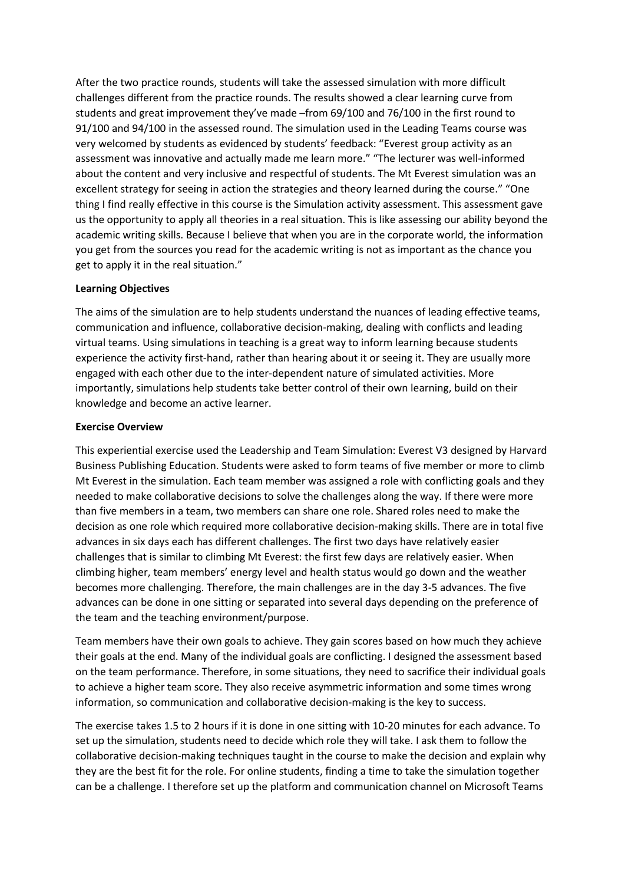After the two practice rounds, students will take the assessed simulation with more difficult challenges different from the practice rounds. The results showed a clear learning curve from students and great improvement they've made –from 69/100 and 76/100 in the first round to 91/100 and 94/100 in the assessed round. The simulation used in the Leading Teams course was very welcomed by students as evidenced by students' feedback: "Everest group activity as an assessment was innovative and actually made me learn more." "The lecturer was well-informed about the content and very inclusive and respectful of students. The Mt Everest simulation was an excellent strategy for seeing in action the strategies and theory learned during the course." "One thing I find really effective in this course is the Simulation activity assessment. This assessment gave us the opportunity to apply all theories in a real situation. This is like assessing our ability beyond the academic writing skills. Because I believe that when you are in the corporate world, the information you get from the sources you read for the academic writing is not as important as the chance you get to apply it in the real situation."

### **Learning Objectives**

The aims of the simulation are to help students understand the nuances of leading effective teams, communication and influence, collaborative decision-making, dealing with conflicts and leading virtual teams. Using simulations in teaching is a great way to inform learning because students experience the activity first-hand, rather than hearing about it or seeing it. They are usually more engaged with each other due to the inter-dependent nature of simulated activities. More importantly, simulations help students take better control of their own learning, build on their knowledge and become an active learner.

#### **Exercise Overview**

This experiential exercise used the Leadership and Team Simulation: Everest V3 designed by Harvard Business Publishing Education. Students were asked to form teams of five member or more to climb Mt Everest in the simulation. Each team member was assigned a role with conflicting goals and they needed to make collaborative decisions to solve the challenges along the way. If there were more than five members in a team, two members can share one role. Shared roles need to make the decision as one role which required more collaborative decision-making skills. There are in total five advances in six days each has different challenges. The first two days have relatively easier challenges that is similar to climbing Mt Everest: the first few days are relatively easier. When climbing higher, team members' energy level and health status would go down and the weather becomes more challenging. Therefore, the main challenges are in the day 3-5 advances. The five advances can be done in one sitting or separated into several days depending on the preference of the team and the teaching environment/purpose.

Team members have their own goals to achieve. They gain scores based on how much they achieve their goals at the end. Many of the individual goals are conflicting. I designed the assessment based on the team performance. Therefore, in some situations, they need to sacrifice their individual goals to achieve a higher team score. They also receive asymmetric information and some times wrong information, so communication and collaborative decision-making is the key to success.

The exercise takes 1.5 to 2 hours if it is done in one sitting with 10-20 minutes for each advance. To set up the simulation, students need to decide which role they will take. I ask them to follow the collaborative decision-making techniques taught in the course to make the decision and explain why they are the best fit for the role. For online students, finding a time to take the simulation together can be a challenge. I therefore set up the platform and communication channel on Microsoft Teams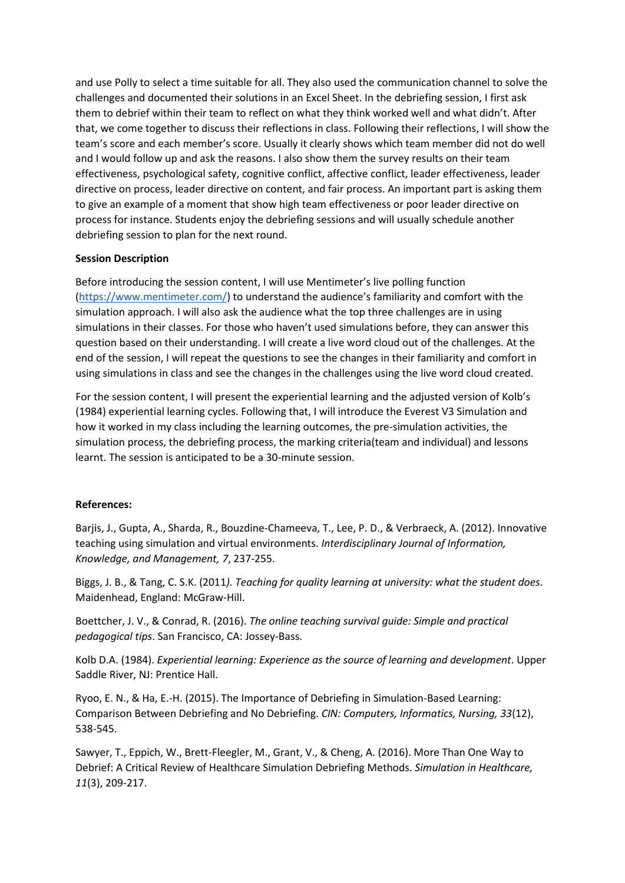and use Polly to select a time suitable for all. They also used the communication channel to solve the challenges and documented their solutions in an Excel Sheet. In the debriefing session, I first ask them to debrief within their team to reflect on what they think worked well and what didn't. After that, we come together to discuss their reflections in class. Following their reflections, I will show the team's score and each member's score. Usually it clearly shows which team member did not do well and I would follow up and ask the reasons. I also show them the survey results on their team effectiveness, psychological safety, cognitive conflict, affective conflict, leader effectiveness, leader directive on process, leader directive on content, and fair process. An important part is asking them to give an example of a moment that show high team effectiveness or poor leader directive on process for instance. Students enjoy the debriefing sessions and will usually schedule another debriefing session to plan for the next round.

# **Session Description**

Before introducing the session content, I will use Mentimeter's live polling function [\(https://www.mentimeter.com/\)](https://www.mentimeter.com/) to understand the audience's familiarity and comfort with the simulation approach. I will also ask the audience what the top three challenges are in using simulations in their classes. For those who haven't used simulations before, they can answer this question based on their understanding. I will create a live word cloud out of the challenges. At the end of the session, I will repeat the questions to see the changes in their familiarity and comfort in using simulations in class and see the changes in the challenges using the live word cloud created.

For the session content, I will present the experiential learning and the adjusted version of Kolb's (1984) experiential learning cycles. Following that, I will introduce the Everest V3 Simulation and how it worked in my class including the learning outcomes, the pre-simulation activities, the simulation process, the debriefing process, the marking criteria(team and individual) and lessons learnt. The session is anticipated to be a 30-minute session.

### **References:**

Barjis, J., Gupta, A., Sharda, R., Bouzdine-Chameeva, T., Lee, P. D., & Verbraeck, A. (2012). Innovative teaching using simulation and virtual environments. *Interdisciplinary Journal of Information, Knowledge, and Management, 7*, 237-255.

Biggs, J. B., & Tang, C. S.K. (2011*). Teaching for quality learning at university: what the student does*. Maidenhead, England: McGraw-Hill.

Boettcher, J. V., & Conrad, R. (2016). *The online teaching survival guide: Simple and practical pedagogical tips*. San Francisco, CA: Jossey-Bass.

Kolb D.A. (1984). *Experiential learning: Experience as the source of learning and development*. Upper Saddle River, NJ: Prentice Hall.

Ryoo, E. N., & Ha, E.-H. (2015). The Importance of Debriefing in Simulation-Based Learning: Comparison Between Debriefing and No Debriefing. *CIN: Computers, Informatics, Nursing, 33*(12), 538-545.

Sawyer, T., Eppich, W., Brett-Fleegler, M., Grant, V., & Cheng, A. (2016). More Than One Way to Debrief: A Critical Review of Healthcare Simulation Debriefing Methods. *Simulation in Healthcare, 11*(3), 209-217.